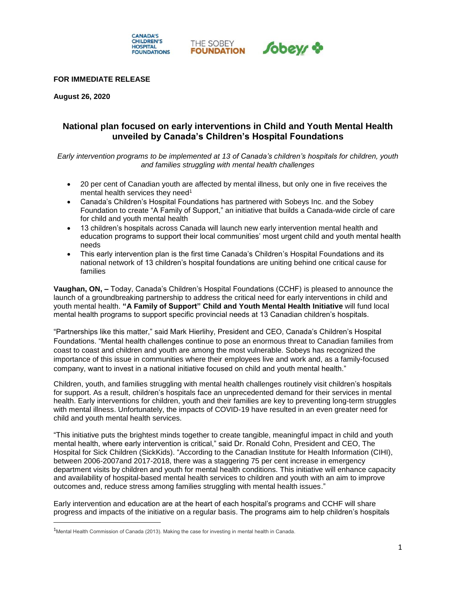

### **FOR IMMEDIATE RELEASE**

**August 26, 2020**

 $\overline{\phantom{a}}$ 

# **National plan focused on early interventions in Child and Youth Mental Health unveiled by Canada's Children's Hospital Foundations**

*Early intervention programs to be implemented at 13 of Canada's children's hospitals for children, youth and families struggling with mental health challenges*

- 20 per cent of Canadian youth are affected by mental illness, but only one in five receives the mental health services they need<sup>1</sup>
- Canada's Children's Hospital Foundations has partnered with Sobeys Inc. and the Sobey Foundation to create "A Family of Support," an initiative that builds a Canada-wide circle of care for child and youth mental health
- 13 children's hospitals across Canada will launch new early intervention mental health and education programs to support their local communities' most urgent child and youth mental health needs
- This early intervention plan is the first time Canada's Children's Hospital Foundations and its national network of 13 children's hospital foundations are uniting behind one critical cause for families

**Vaughan, ON, –** Today, Canada's Children's Hospital Foundations (CCHF) is pleased to announce the launch of a groundbreaking partnership to address the critical need for early interventions in child and youth mental health. **"A Family of Support" Child and Youth Mental Health Initiative** will fund local mental health programs to support specific provincial needs at 13 Canadian children's hospitals.

"Partnerships like this matter," said Mark Hierlihy, President and CEO, Canada's Children's Hospital Foundations. "Mental health challenges continue to pose an enormous threat to Canadian families from coast to coast and children and youth are among the most vulnerable. Sobeys has recognized the importance of this issue in communities where their employees live and work and, as a family-focused company, want to invest in a national initiative focused on child and youth mental health."

Children, youth, and families struggling with mental health challenges routinely visit children's hospitals for support. As a result, children's hospitals face an unprecedented demand for their services in mental health. Early interventions for children, youth and their families are key to preventing long-term struggles with mental illness. Unfortunately, the impacts of COVID-19 have resulted in an even greater need for child and youth mental health services.

"This initiative puts the brightest minds together to create tangible, meaningful impact in child and youth mental health, where early intervention is critical," said Dr. Ronald Cohn, President and CEO, The Hospital for Sick Children (SickKids). "According to the Canadian Institute for Health Information (CIHI), between 2006-2007and 2017-2018, there was a staggering 75 per cent increase in emergency department visits by children and youth for mental health conditions. This initiative will enhance capacity and availability of hospital-based mental health services to children and youth with an aim to improve outcomes and, reduce stress among families struggling with mental health issues."

Early intervention and education are at the heart of each hospital's programs and CCHF will share progress and impacts of the initiative on a regular basis. The programs aim to help children's hospitals

<sup>&</sup>lt;sup>1</sup>Mental Health Commission of Canada (2013). Making the case for investing in mental health in Canada.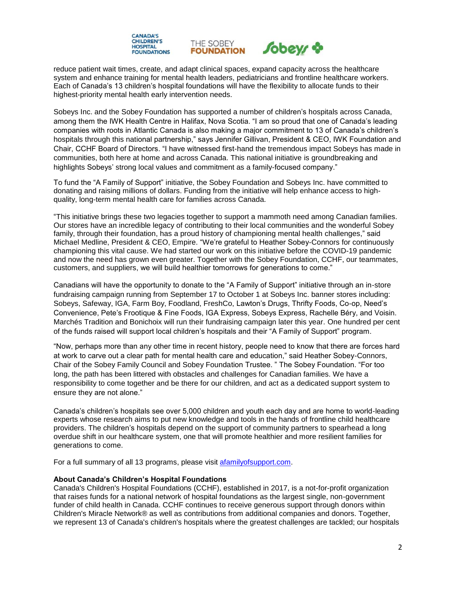



reduce patient wait times, create, and adapt clinical spaces, expand capacity across the healthcare system and enhance training for mental health leaders, pediatricians and frontline healthcare workers. Each of Canada's 13 children's hospital foundations will have the flexibility to allocate funds to their highest-priority mental health early intervention needs.

THE SOBEY

**FOUNDATION** 

Sobeys Inc. and the Sobey Foundation has supported a number of children's hospitals across Canada, among them the IWK Health Centre in Halifax, Nova Scotia. "I am so proud that one of Canada's leading companies with roots in Atlantic Canada is also making a major commitment to 13 of Canada's children's hospitals through this national partnership," says Jennifer Gillivan, President & CEO, IWK Foundation and Chair, CCHF Board of Directors. "I have witnessed first-hand the tremendous impact Sobeys has made in communities, both here at home and across Canada. This national initiative is groundbreaking and highlights Sobeys' strong local values and commitment as a family-focused company."

To fund the "A Family of Support" initiative, the Sobey Foundation and Sobeys Inc. have committed to donating and raising millions of dollars. Funding from the initiative will help enhance access to highquality, long-term mental health care for families across Canada.

"This initiative brings these two legacies together to support a mammoth need among Canadian families. Our stores have an incredible legacy of contributing to their local communities and the wonderful Sobey family, through their foundation, has a proud history of championing mental health challenges," said Michael Medline, President & CEO, Empire. "We're grateful to Heather Sobey-Connors for continuously championing this vital cause. We had started our work on this initiative before the COVID-19 pandemic and now the need has grown even greater. Together with the Sobey Foundation, CCHF, our teammates, customers, and suppliers, we will build healthier tomorrows for generations to come."

Canadians will have the opportunity to donate to the "A Family of Support" initiative through an in-store fundraising campaign running from September 17 to October 1 at Sobeys Inc. banner stores including: Sobeys, Safeway, IGA, Farm Boy, Foodland, FreshCo, Lawton's Drugs, Thrifty Foods, Co-op, Need's Convenience, Pete's Frootique & Fine Foods, IGA Express, Sobeys Express, Rachelle Béry, and Voisin. Marchés Tradition and Bonichoix will run their fundraising campaign later this year. One hundred per cent of the funds raised will support local children's hospitals and their "A Family of Support" program.

"Now, perhaps more than any other time in recent history, people need to know that there are forces hard at work to carve out a clear path for mental health care and education," said Heather Sobey-Connors, Chair of the Sobey Family Council and Sobey Foundation Trustee. " The Sobey Foundation. "For too long, the path has been littered with obstacles and challenges for Canadian families. We have a responsibility to come together and be there for our children, and act as a dedicated support system to ensure they are not alone."

Canada's children's hospitals see over 5,000 children and youth each day and are home to world-leading experts whose research aims to put new knowledge and tools in the hands of frontline child healthcare providers. The children's hospitals depend on the support of community partners to spearhead a long overdue shift in our healthcare system, one that will promote healthier and more resilient families for generations to come.

For a full summary of all 13 programs, please visit [afamilyofsupport.com.](https://www.afamilyofsupport.com/)

## **About Canada's Children's Hospital Foundations**

Canada's Children's Hospital Foundations (CCHF), established in 2017, is a not-for-profit organization that raises funds for a national network of hospital foundations as the largest single, non-government funder of child health in Canada. CCHF continues to receive generous support through donors within Children's Miracle Network® as well as contributions from additional companies and donors. Together, we represent 13 of Canada's children's hospitals where the greatest challenges are tackled; our hospitals